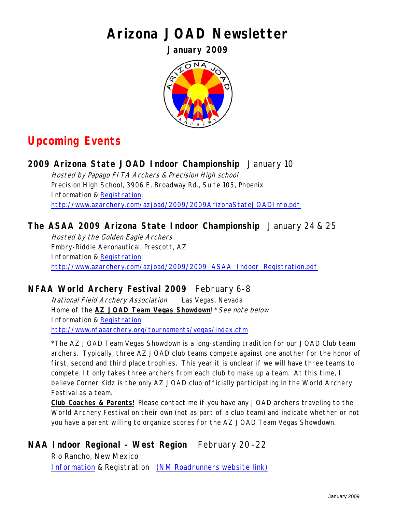# **Arizona JOAD Newsletter**

**January 2009** 



## **Upcoming Events**

**2009 Arizona State JOAD Indoor Championship** January 10 Hosted by Papago FITA Archers & Precision High school Precision High School, 3906 E. Broadway Rd., Suite 105, Phoenix Information & [Registration](http://www.azarchery.com/azjoad/2009/2009ArizonaStateJOADInfo.pdf): <http://www.azarchery.com/azjoad/2009/2009ArizonaStateJOADInfo.pdf>

### **The ASAA 2009 Arizona State Indoor Championship** January 24 & 25

Hosted by the Golden Eagle Archers Embry-Riddle Aeronautical, Prescott, AZ Information & [Registration](http://www.azarchery.com/azjoad/2009/2009_ASAA_Indoor_Registration.pdf): [http://www.azarchery.com/azjoad/2009/2009\\_ASAA\\_Indoor\\_Registration.pdf](http://www.azarchery.com/azjoad/2009/2009_ASAA_Indoor_Registration.pdf) 

#### **NFAA World Archery Festival 2009** February 6-8

National Field Archery Association Las Vegas, Nevada Home of the AZ JOAD Team Vegas Showdown! \* See note below Information & [Registration](http://www.nfaaarchery.org/tournaments/vegas/index.cfm) <http://www.nfaaarchery.org/tournaments/vegas/index.cfm>

\*The AZ JOAD Team Vegas Showdown is a long-standing tradition for our JOAD Club team archers. Typically, three AZ JOAD club teams compete against one another for the honor of first, second and third place trophies. This year it is unclear if we will have three teams to compete. It only takes three archers from each club to make up a team. At this time, I believe Corner Kidz is the only AZ JOAD club officially participating in the World Archery Festival as a team.

**Club Coaches & Parents!** Please contact me if you have any JOAD archers traveling to the World Archery Festival on their own (not as part of a club team) and indicate whether or not you have a parent willing to organize scores for the AZ JOAD Team Vegas Showdown.

#### **NAA Indoor Regional – West Region** February 20 -22

Rio Rancho, New Mexico [Information](http://www.usarchery.org/usarchery/Eventdetails.cfm?eventID=1958&hbc=000066&shbc=FFE88B&shtc=black&htc=white) & Registration [\(NM Roadrunners website link\)](http://www.nmarchery.org/portal/IndoorNationals/tabid/58/Default.aspx)